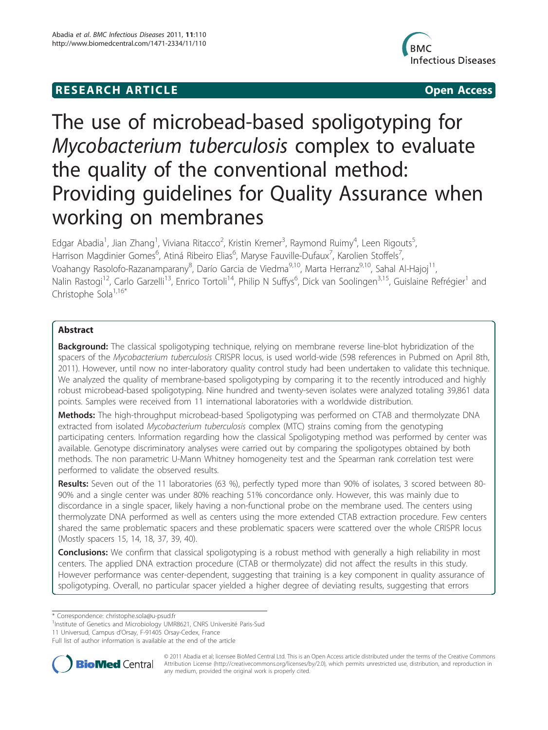## **RESEARCH ARTICLE Example 2018 12:00 Open Access**



# The use of microbead-based spoligotyping for Mycobacterium tuberculosis complex to evaluate the quality of the conventional method: Providing guidelines for Quality Assurance when working on membranes

Edgar Abadia<sup>1</sup>, Jian Zhang<sup>1</sup>, Viviana Ritacco<sup>2</sup>, Kristin Kremer<sup>3</sup>, Raymond Ruimy<sup>4</sup>, Leen Rigouts<sup>5</sup> , Harrison Magdinier Gomes<sup>6</sup>, Atiná Ribeiro Elias<sup>6</sup>, Maryse Fauville-Dufaux<sup>7</sup>, Karolien Stoffels<sup>7</sup> , Voahangy Rasolofo-Razanamparany<sup>8</sup>, Darío Garcia de Viedma<sup>9,10</sup>, Marta Herranz<sup>9,10</sup>, Sahal Al-Hajoj<sup>11</sup>, Nalin Rastogi<sup>12</sup>, Carlo Garzelli<sup>13</sup>, Enrico Tortoli<sup>14</sup>, Philip N Suffys<sup>6</sup>, Dick van Soolingen<sup>3,15</sup>, Guislaine Refrégier<sup>1</sup> and Christophe Sola<sup>1,16\*</sup>

## Abstract

Background: The classical spoligotyping technique, relying on membrane reverse line-blot hybridization of the spacers of the Mycobacterium tuberculosis CRISPR locus, is used world-wide (598 references in Pubmed on April 8th, 2011). However, until now no inter-laboratory quality control study had been undertaken to validate this technique. We analyzed the quality of membrane-based spoligotyping by comparing it to the recently introduced and highly robust microbead-based spoligotyping. Nine hundred and twenty-seven isolates were analyzed totaling 39,861 data points. Samples were received from 11 international laboratories with a worldwide distribution.

Methods: The high-throughput microbead-based Spoligotyping was performed on CTAB and thermolyzate DNA extracted from isolated Mycobacterium tuberculosis complex (MTC) strains coming from the genotyping participating centers. Information regarding how the classical Spoligotyping method was performed by center was available. Genotype discriminatory analyses were carried out by comparing the spoligotypes obtained by both methods. The non parametric U-Mann Whitney homogeneity test and the Spearman rank correlation test were performed to validate the observed results.

Results: Seven out of the 11 laboratories (63 %), perfectly typed more than 90% of isolates, 3 scored between 80-90% and a single center was under 80% reaching 51% concordance only. However, this was mainly due to discordance in a single spacer, likely having a non-functional probe on the membrane used. The centers using thermolyzate DNA performed as well as centers using the more extended CTAB extraction procedure. Few centers shared the same problematic spacers and these problematic spacers were scattered over the whole CRISPR locus (Mostly spacers 15, 14, 18, 37, 39, 40).

**Conclusions:** We confirm that classical spoligotyping is a robust method with generally a high reliability in most centers. The applied DNA extraction procedure (CTAB or thermolyzate) did not affect the results in this study. However performance was center-dependent, suggesting that training is a key component in quality assurance of spoligotyping. Overall, no particular spacer yielded a higher degree of deviating results, suggesting that errors

<sup>1</sup>Institute of Genetics and Microbiology UMR8621, CNRS Université Paris-Sud

11 Universud, Campus d'Orsay, F-91405 Orsay-Cedex, France

Full list of author information is available at the end of the article



© 2011 Abadia et al; licensee BioMed Central Ltd. This is an Open Access article distributed under the terms of the Creative Commons Attribution License [\(http://creativecommons.org/licenses/by/2.0](http://creativecommons.org/licenses/by/2.0)), which permits unrestricted use, distribution, and reproduction in any medium, provided the original work is properly cited.

<sup>\*</sup> Correspondence: [christophe.sola@u-psud.fr](mailto:christophe.sola@u-psud.fr)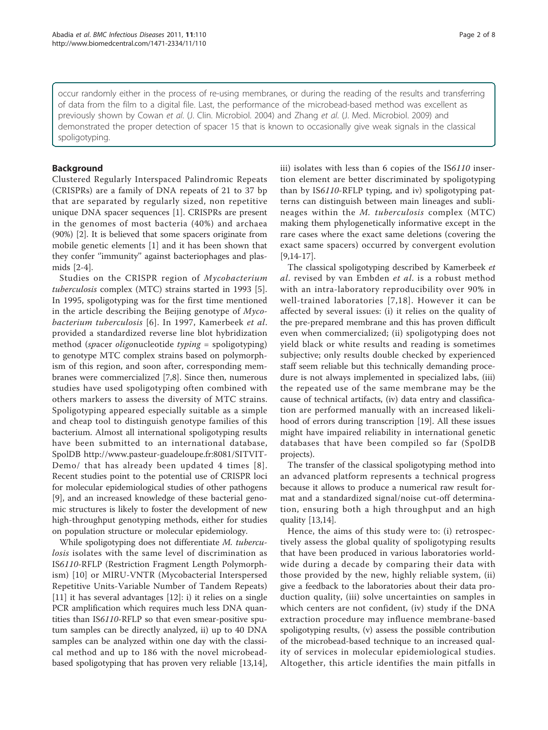occur randomly either in the process of re-using membranes, or during the reading of the results and transferring of data from the film to a digital file. Last, the performance of the microbead-based method was excellent as previously shown by Cowan et al. (J. Clin. Microbiol. 2004) and Zhang et al. (J. Med. Microbiol. 2009) and demonstrated the proper detection of spacer 15 that is known to occasionally give weak signals in the classical spoligotyping.

## Background

Clustered Regularly Interspaced Palindromic Repeats (CRISPRs) are a family of DNA repeats of 21 to 37 bp that are separated by regularly sized, non repetitive unique DNA spacer sequences [[1\]](#page-6-0). CRISPRs are present in the genomes of most bacteria (40%) and archaea (90%) [\[2\]](#page-6-0). It is believed that some spacers originate from mobile genetic elements [[1\]](#page-6-0) and it has been shown that they confer ''immunity'' against bacteriophages and plasmids [[2-4](#page-6-0)].

Studies on the CRISPR region of Mycobacterium tuberculosis complex (MTC) strains started in 1993 [\[5](#page-6-0)]. In 1995, spoligotyping was for the first time mentioned in the article describing the Beijing genotype of  $Myco$ bacterium tuberculosis [[6](#page-6-0)]. In 1997, Kamerbeek et al. provided a standardized reverse line blot hybridization method (spacer oligonucleotide typing = spoligotyping) to genotype MTC complex strains based on polymorphism of this region, and soon after, corresponding membranes were commercialized [\[7,8\]](#page-6-0). Since then, numerous studies have used spoligotyping often combined with others markers to assess the diversity of MTC strains. Spoligotyping appeared especially suitable as a simple and cheap tool to distinguish genotype families of this bacterium. Almost all international spoligotyping results have been submitted to an international database, SpolDB [http://www.pasteur-guadeloupe.fr:8081/SITVIT-](http://www.pasteur-guadeloupe.fr:8081/SITVITDemo/)[Demo/](http://www.pasteur-guadeloupe.fr:8081/SITVITDemo/) that has already been updated 4 times [[8\]](#page-6-0). Recent studies point to the potential use of CRISPR loci for molecular epidemiological studies of other pathogens [[9\]](#page-6-0), and an increased knowledge of these bacterial genomic structures is likely to foster the development of new high-throughput genotyping methods, either for studies on population structure or molecular epidemiology.

While spoligotyping does not differentiate M. tuberculosis isolates with the same level of discrimination as IS6110-RFLP (Restriction Fragment Length Polymorphism) [[10\]](#page-6-0) or MIRU-VNTR (Mycobacterial Interspersed Repetitive Units-Variable Number of Tandem Repeats) [[11\]](#page-6-0) it has several advantages [\[12\]](#page-6-0): i) it relies on a single PCR amplification which requires much less DNA quantities than IS6110-RFLP so that even smear-positive sputum samples can be directly analyzed, ii) up to 40 DNA samples can be analyzed within one day with the classical method and up to 186 with the novel microbeadbased spoligotyping that has proven very reliable [[13](#page-6-0),[14](#page-6-0)], iii) isolates with less than 6 copies of the IS6110 insertion element are better discriminated by spoligotyping than by IS6110-RFLP typing, and iv) spoligotyping patterns can distinguish between main lineages and sublineages within the M. tuberculosis complex (MTC) making them phylogenetically informative except in the rare cases where the exact same deletions (covering the exact same spacers) occurred by convergent evolution  $[9,14-17]$  $[9,14-17]$ .

The classical spoligotyping described by Kamerbeek et al. revised by van Embden et al. is a robust method with an intra-laboratory reproducibility over 90% in well-trained laboratories [[7](#page-6-0),[18](#page-6-0)]. However it can be affected by several issues: (i) it relies on the quality of the pre-prepared membrane and this has proven difficult even when commercialized; (ii) spoligotyping does not yield black or white results and reading is sometimes subjective; only results double checked by experienced staff seem reliable but this technically demanding procedure is not always implemented in specialized labs, (iii) the repeated use of the same membrane may be the cause of technical artifacts, (iv) data entry and classification are performed manually with an increased likelihood of errors during transcription [[19\]](#page-7-0). All these issues might have impaired reliability in international genetic databases that have been compiled so far (SpolDB projects).

The transfer of the classical spoligotyping method into an advanced platform represents a technical progress because it allows to produce a numerical raw result format and a standardized signal/noise cut-off determination, ensuring both a high throughput and an high quality [[13,14](#page-6-0)].

Hence, the aims of this study were to: (i) retrospectively assess the global quality of spoligotyping results that have been produced in various laboratories worldwide during a decade by comparing their data with those provided by the new, highly reliable system, (ii) give a feedback to the laboratories about their data production quality, (iii) solve uncertainties on samples in which centers are not confident, (iv) study if the DNA extraction procedure may influence membrane-based spoligotyping results, (v) assess the possible contribution of the microbead-based technique to an increased quality of services in molecular epidemiological studies. Altogether, this article identifies the main pitfalls in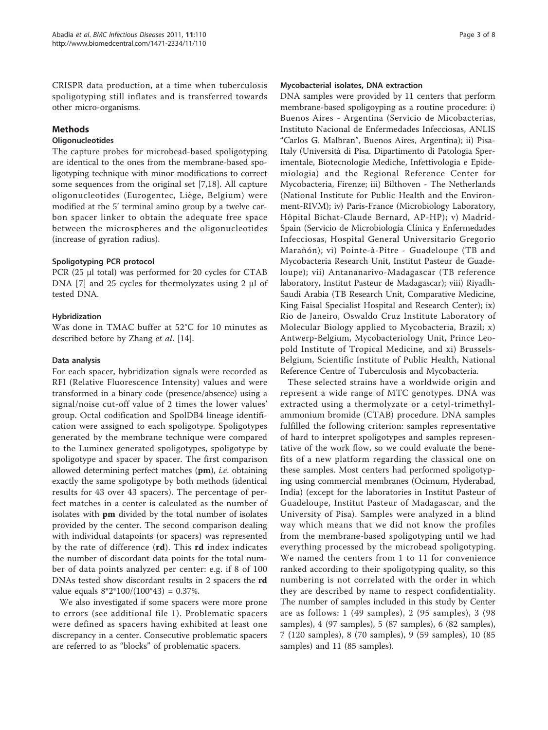CRISPR data production, at a time when tuberculosis spoligotyping still inflates and is transferred towards other micro-organisms.

## Methods

#### **Oligonucleotides**

The capture probes for microbead-based spoligotyping are identical to the ones from the membrane-based spoligotyping technique with minor modifications to correct some sequences from the original set [[7](#page-6-0),[18\]](#page-6-0). All capture oligonucleotides (Eurogentec, Liège, Belgium) were modified at the 5' terminal amino group by a twelve carbon spacer linker to obtain the adequate free space between the microspheres and the oligonucleotides (increase of gyration radius).

## Spoligotyping PCR protocol

PCR (25 μl total) was performed for 20 cycles for CTAB DNA [\[7\]](#page-6-0) and 25 cycles for thermolyzates using 2 μl of tested DNA.

## Hybridization

Was done in TMAC buffer at 52°C for 10 minutes as described before by Zhang et al. [[14\]](#page-6-0).

#### Data analysis

For each spacer, hybridization signals were recorded as RFI (Relative Fluorescence Intensity) values and were transformed in a binary code (presence/absence) using a signal/noise cut-off value of 2 times the lower values' group. Octal codification and SpolDB4 lineage identification were assigned to each spoligotype. Spoligotypes generated by the membrane technique were compared to the Luminex generated spoligotypes, spoligotype by spoligotype and spacer by spacer. The first comparison allowed determining perfect matches  $(pm)$ , *i.e.* obtaining exactly the same spoligotype by both methods (identical results for 43 over 43 spacers). The percentage of perfect matches in a center is calculated as the number of isolates with pm divided by the total number of isolates provided by the center. The second comparison dealing with individual datapoints (or spacers) was represented by the rate of difference (rd). This rd index indicates the number of discordant data points for the total number of data points analyzed per center: e.g. if 8 of 100 DNAs tested show discordant results in 2 spacers the rd value equals  $8*2*100/(100*43) = 0.37%$ .

We also investigated if some spacers were more prone to errors (see additional file [1\)](#page-6-0). Problematic spacers were defined as spacers having exhibited at least one discrepancy in a center. Consecutive problematic spacers are referred to as "blocks" of problematic spacers.

#### Mycobacterial isolates, DNA extraction

DNA samples were provided by 11 centers that perform membrane-based spoligoyping as a routine procedure: i) Buenos Aires - Argentina (Servicio de Micobacterias, Instituto Nacional de Enfermedades Infecciosas, ANLIS "Carlos G. Malbran", Buenos Aires, Argentina); ii) Pisa-Italy (Università di Pisa. Dipartimento di Patologia Sperimentale, Biotecnologie Mediche, Infettivologia e Epidemiologia) and the Regional Reference Center for Mycobacteria, Firenze; iii) Bilthoven - The Netherlands (National Institute for Public Health and the Environment-RIVM); iv) Paris-France (Microbiology Laboratory, Hôpital Bichat-Claude Bernard, AP-HP); v) Madrid-Spain (Servicio de Microbiología Clínica y Enfermedades Infecciosas, Hospital General Universitario Gregorio Marañón); vi) Pointe-à-Pitre - Guadeloupe (TB and Mycobacteria Research Unit, Institut Pasteur de Guadeloupe); vii) Antananarivo-Madagascar (TB reference laboratory, Institut Pasteur de Madagascar); viii) Riyadh-Saudi Arabia (TB Research Unit, Comparative Medicine, King Faisal Specialist Hospital and Research Center); ix) Rio de Janeiro, Oswaldo Cruz Institute Laboratory of Molecular Biology applied to Mycobacteria, Brazil; x) Antwerp-Belgium, Mycobacteriology Unit, Prince Leopold Institute of Tropical Medicine, and xi) Brussels-Belgium, Scientific Institute of Public Health, National Reference Centre of Tuberculosis and Mycobacteria.

These selected strains have a worldwide origin and represent a wide range of MTC genotypes. DNA was extracted using a thermolyzate or a cetyl-trimethylammonium bromide (CTAB) procedure. DNA samples fulfilled the following criterion: samples representative of hard to interpret spoligotypes and samples representative of the work flow, so we could evaluate the benefits of a new platform regarding the classical one on these samples. Most centers had performed spoligotyping using commercial membranes (Ocimum, Hyderabad, India) (except for the laboratories in Institut Pasteur of Guadeloupe, Institut Pasteur of Madagascar, and the University of Pisa). Samples were analyzed in a blind way which means that we did not know the profiles from the membrane-based spoligotyping until we had everything processed by the microbead spoligotyping. We named the centers from 1 to 11 for convenience ranked according to their spoligotyping quality, so this numbering is not correlated with the order in which they are described by name to respect confidentiality. The number of samples included in this study by Center are as follows: 1 (49 samples), 2 (95 samples), 3 (98 samples), 4 (97 samples), 5 (87 samples), 6 (82 samples), 7 (120 samples), 8 (70 samples), 9 (59 samples), 10 (85 samples) and 11 (85 samples).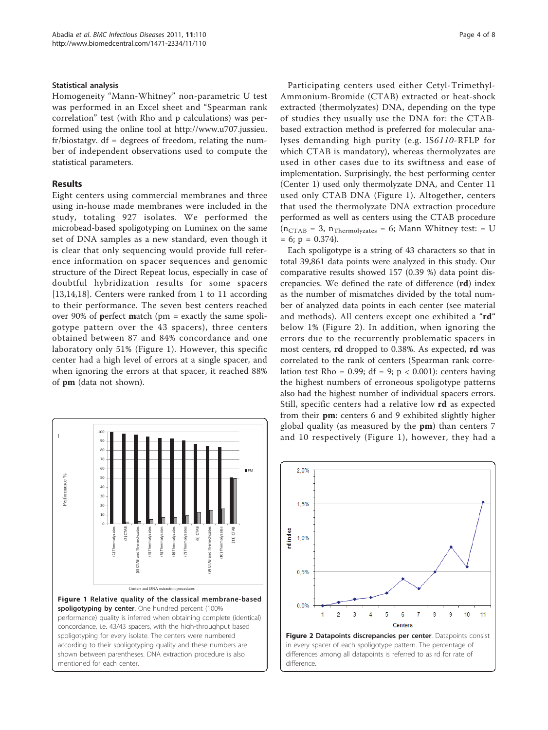#### <span id="page-3-0"></span>Statistical analysis

Homogeneity "Mann-Whitney" non-parametric U test was performed in an Excel sheet and "Spearman rank correlation" test (with Rho and p calculations) was performed using the online tool at [http://www.u707.jussieu.](http://www.u707.jussieu.fr/biostatgv) [fr/biostatgv](http://www.u707.jussieu.fr/biostatgv). df = degrees of freedom, relating the number of independent observations used to compute the statistical parameters.

### Results

Eight centers using commercial membranes and three using in-house made membranes were included in the study, totaling 927 isolates. We performed the microbead-based spoligotyping on Luminex on the same set of DNA samples as a new standard, even though it is clear that only sequencing would provide full reference information on spacer sequences and genomic structure of the Direct Repeat locus, especially in case of doubtful hybridization results for some spacers [[13,14,18](#page-6-0)]. Centers were ranked from 1 to 11 according to their performance. The seven best centers reached over 90% of perfect match (pm = exactly the same spoligotype pattern over the 43 spacers), three centers obtained between 87 and 84% concordance and one laboratory only 51% (Figure 1). However, this specific center had a high level of errors at a single spacer, and when ignoring the errors at that spacer, it reached 88% of pm (data not shown).



Participating centers used either Cetyl-Trimethyl-Ammonium-Bromide (CTAB) extracted or heat-shock extracted (thermolyzates) DNA, depending on the type of studies they usually use the DNA for: the CTABbased extraction method is preferred for molecular analyses demanding high purity (e.g. IS6110-RFLP for which CTAB is mandatory), whereas thermolyzates are used in other cases due to its swiftness and ease of implementation. Surprisingly, the best performing center (Center 1) used only thermolyzate DNA, and Center 11 used only CTAB DNA (Figure 1). Altogether, centers that used the thermolyzate DNA extraction procedure performed as well as centers using the CTAB procedure  $(n_{CTAB} = 3, n_{Thermolyzates} = 6; Mann Whitney test: = U$  $= 6$ ;  $p = 0.374$ ).

Each spoligotype is a string of 43 characters so that in total 39,861 data points were analyzed in this study. Our comparative results showed 157 (0.39 %) data point discrepancies. We defined the rate of difference (rd) index as the number of mismatches divided by the total number of analyzed data points in each center (see material and methods). All centers except one exhibited a "rd" below 1% (Figure 2). In addition, when ignoring the errors due to the recurrently problematic spacers in most centers, rd dropped to 0.38%. As expected, rd was correlated to the rank of centers (Spearman rank correlation test Rho = 0.99; df = 9;  $p < 0.001$ ): centers having the highest numbers of erroneous spoligotype patterns also had the highest number of individual spacers errors. Still, specific centers had a relative low rd as expected from their pm: centers 6 and 9 exhibited slightly higher global quality (as measured by the pm) than centers 7 and 10 respectively (Figure 1), however, they had a

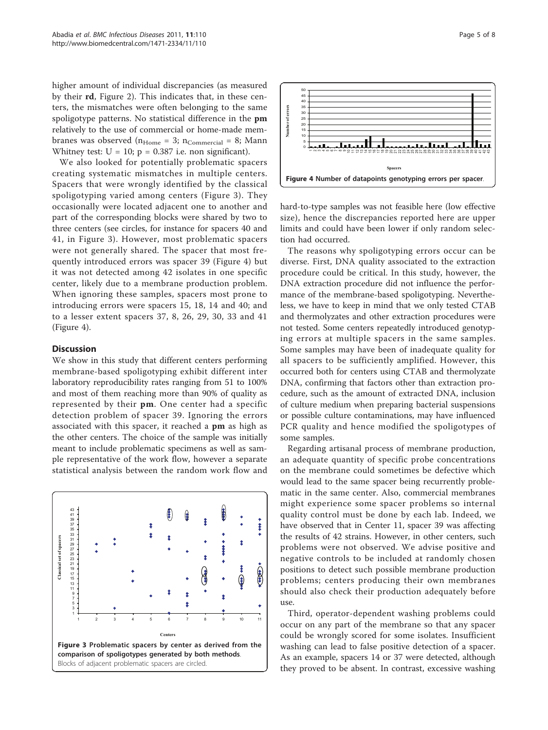higher amount of individual discrepancies (as measured by their rd, Figure [2\)](#page-3-0). This indicates that, in these centers, the mismatches were often belonging to the same spoligotype patterns. No statistical difference in the pm relatively to the use of commercial or home-made membranes was observed  $(n_{Home} = 3; n_{Commercial} = 8; Mann)$ Whitney test:  $U = 10$ ;  $p = 0.387$  i.e. non significant).

We also looked for potentially problematic spacers creating systematic mismatches in multiple centers. Spacers that were wrongly identified by the classical spoligotyping varied among centers (Figure 3). They occasionally were located adjacent one to another and part of the corresponding blocks were shared by two to three centers (see circles, for instance for spacers 40 and 41, in Figure 3). However, most problematic spacers were not generally shared. The spacer that most frequently introduced errors was spacer 39 (Figure 4) but it was not detected among 42 isolates in one specific center, likely due to a membrane production problem. When ignoring these samples, spacers most prone to introducing errors were spacers 15, 18, 14 and 40; and to a lesser extent spacers 37, 8, 26, 29, 30, 33 and 41 (Figure 4).

#### **Discussion**

We show in this study that different centers performing membrane-based spoligotyping exhibit different inter laboratory reproducibility rates ranging from 51 to 100% and most of them reaching more than 90% of quality as represented by their pm. One center had a specific detection problem of spacer 39. Ignoring the errors associated with this spacer, it reached a pm as high as the other centers. The choice of the sample was initially meant to include problematic specimens as well as sample representative of the work flow, however a separate statistical analysis between the random work flow and





hard-to-type samples was not feasible here (low effective size), hence the discrepancies reported here are upper limits and could have been lower if only random selection had occurred.

The reasons why spoligotyping errors occur can be diverse. First, DNA quality associated to the extraction procedure could be critical. In this study, however, the DNA extraction procedure did not influence the performance of the membrane-based spoligotyping. Nevertheless, we have to keep in mind that we only tested CTAB and thermolyzates and other extraction procedures were not tested. Some centers repeatedly introduced genotyping errors at multiple spacers in the same samples. Some samples may have been of inadequate quality for all spacers to be sufficiently amplified. However, this occurred both for centers using CTAB and thermolyzate DNA, confirming that factors other than extraction procedure, such as the amount of extracted DNA, inclusion of culture medium when preparing bacterial suspensions or possible culture contaminations, may have influenced PCR quality and hence modified the spoligotypes of some samples.

Regarding artisanal process of membrane production, an adequate quantity of specific probe concentrations on the membrane could sometimes be defective which would lead to the same spacer being recurrently problematic in the same center. Also, commercial membranes might experience some spacer problems so internal quality control must be done by each lab. Indeed, we have observed that in Center 11, spacer 39 was affecting the results of 42 strains. However, in other centers, such problems were not observed. We advise positive and negative controls to be included at randomly chosen positions to detect such possible membrane production problems; centers producing their own membranes should also check their production adequately before use.

Third, operator-dependent washing problems could occur on any part of the membrane so that any spacer could be wrongly scored for some isolates. Insufficient washing can lead to false positive detection of a spacer. As an example, spacers 14 or 37 were detected, although they proved to be absent. In contrast, excessive washing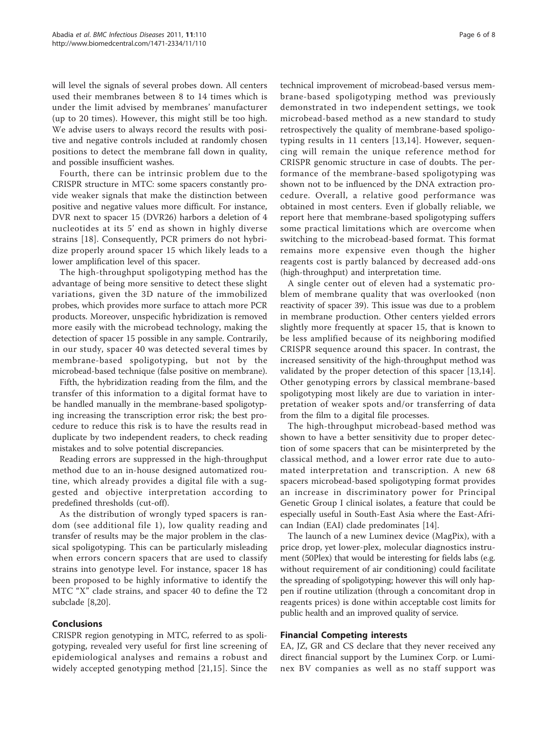will level the signals of several probes down. All centers used their membranes between 8 to 14 times which is under the limit advised by membranes' manufacturer (up to 20 times). However, this might still be too high. We advise users to always record the results with positive and negative controls included at randomly chosen positions to detect the membrane fall down in quality, and possible insufficient washes.

Fourth, there can be intrinsic problem due to the CRISPR structure in MTC: some spacers constantly provide weaker signals that make the distinction between positive and negative values more difficult. For instance, DVR next to spacer 15 (DVR26) harbors a deletion of 4 nucleotides at its 5' end as shown in highly diverse strains [[18\]](#page-6-0). Consequently, PCR primers do not hybridize properly around spacer 15 which likely leads to a lower amplification level of this spacer.

The high-throughput spoligotyping method has the advantage of being more sensitive to detect these slight variations, given the 3D nature of the immobilized probes, which provides more surface to attach more PCR products. Moreover, unspecific hybridization is removed more easily with the microbead technology, making the detection of spacer 15 possible in any sample. Contrarily, in our study, spacer 40 was detected several times by membrane-based spoligotyping, but not by the microbead-based technique (false positive on membrane).

Fifth, the hybridization reading from the film, and the transfer of this information to a digital format have to be handled manually in the membrane-based spoligotyping increasing the transcription error risk; the best procedure to reduce this risk is to have the results read in duplicate by two independent readers, to check reading mistakes and to solve potential discrepancies.

Reading errors are suppressed in the high-throughput method due to an in-house designed automatized routine, which already provides a digital file with a suggested and objective interpretation according to predefined thresholds (cut-off).

As the distribution of wrongly typed spacers is random (see additional file [1](#page-6-0)), low quality reading and transfer of results may be the major problem in the classical spoligotyping. This can be particularly misleading when errors concern spacers that are used to classify strains into genotype level. For instance, spacer 18 has been proposed to be highly informative to identify the MTC "X" clade strains, and spacer 40 to define the T2 subclade [\[8](#page-6-0)[,20\]](#page-7-0).

### Conclusions

CRISPR region genotyping in MTC, referred to as spoligotyping, revealed very useful for first line screening of epidemiological analyses and remains a robust and widely accepted genotyping method [[21](#page-7-0)[,15\]](#page-6-0). Since the

technical improvement of microbead-based versus membrane-based spoligotyping method was previously demonstrated in two independent settings, we took microbead-based method as a new standard to study retrospectively the quality of membrane-based spoligotyping results in 11 centers [[13,14](#page-6-0)]. However, sequencing will remain the unique reference method for CRISPR genomic structure in case of doubts. The performance of the membrane-based spoligotyping was shown not to be influenced by the DNA extraction procedure. Overall, a relative good performance was obtained in most centers. Even if globally reliable, we report here that membrane-based spoligotyping suffers some practical limitations which are overcome when switching to the microbead-based format. This format remains more expensive even though the higher reagents cost is partly balanced by decreased add-ons (high-throughput) and interpretation time.

A single center out of eleven had a systematic problem of membrane quality that was overlooked (non reactivity of spacer 39). This issue was due to a problem in membrane production. Other centers yielded errors slightly more frequently at spacer 15, that is known to be less amplified because of its neighboring modified CRISPR sequence around this spacer. In contrast, the increased sensitivity of the high-throughput method was validated by the proper detection of this spacer [[13,14](#page-6-0)]. Other genotyping errors by classical membrane-based spoligotyping most likely are due to variation in interpretation of weaker spots and/or transferring of data from the film to a digital file processes.

The high-throughput microbead-based method was shown to have a better sensitivity due to proper detection of some spacers that can be misinterpreted by the classical method, and a lower error rate due to automated interpretation and transcription. A new 68 spacers microbead-based spoligotyping format provides an increase in discriminatory power for Principal Genetic Group I clinical isolates, a feature that could be especially useful in South-East Asia where the East-African Indian (EAI) clade predominates [\[14](#page-6-0)].

The launch of a new Luminex device (MagPix), with a price drop, yet lower-plex, molecular diagnostics instrument (50Plex) that would be interesting for fields labs (e.g. without requirement of air conditioning) could facilitate the spreading of spoligotyping; however this will only happen if routine utilization (through a concomitant drop in reagents prices) is done within acceptable cost limits for public health and an improved quality of service.

#### Financial Competing interests

EA, JZ, GR and CS declare that they never received any direct financial support by the Luminex Corp. or Luminex BV companies as well as no staff support was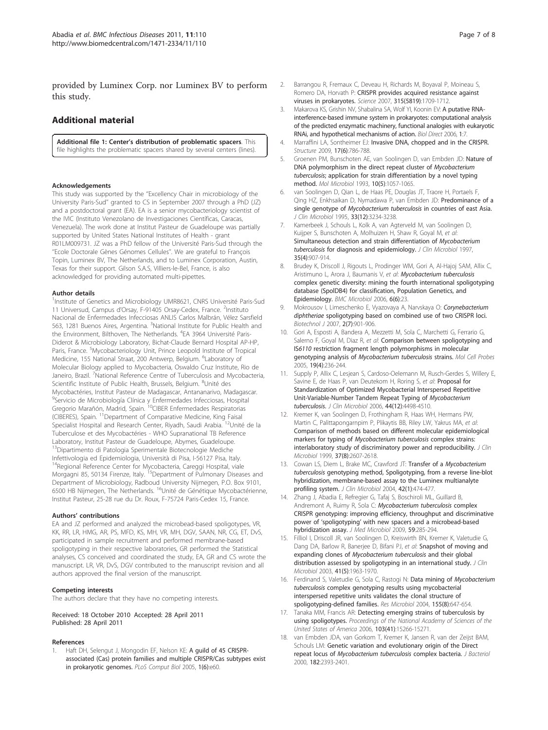<span id="page-6-0"></span>provided by Luminex Corp. nor Luminex BV to perform this study.

## Additional material

[Additional file 1: C](http://www.biomedcentral.com/content/supplementary/1471-2334-11-110-S1.PDF)enter's distribution of problematic spacers. This file highlights the problematic spacers shared by several centers (lines).

#### Acknowledgements

This study was supported by the ''Excellency Chair in microbiology of the University Paris-Sud'' granted to CS in September 2007 through a PhD (JZ) and a postdoctoral grant (EA). EA is a senior mycobacteriology scientist of the IVIC (Instituto Venezolano de Investigaciones Científicas, Caracas, Venezuela). The work done at Institut Pasteur de Guadeloupe was partially supported by United States National Institutes of Health - grant R01LM009731. JZ was a PhD fellow of the Université Paris-Sud through the ''Ecole Doctorale Gènes Génomes Cellules''. We are grateful to François Topin, Luminex BV, The Netherlands, and to Luminex Corporation, Austin, Texas for their support. Gilson S.A.S, Villiers-le-Bel, France, is also acknowledged for providing automated multi-pipettes.

#### Author details

1 Institute of Genetics and Microbiology UMR8621, CNRS Université Paris-Sud 11 Universud, Campus d'Orsay, F-91405 Orsay-Cedex, France. <sup>2</sup>Instituto Nacional de Enfermedades Infecciosas ANLIS Carlos Malbrán, Vélez Sarsfield 563, 1281 Buenos Aires, Argentina. <sup>3</sup>National Institute for Public Health and the Environment, Bilthoven, The Netherlands. <sup>4</sup>EA 3964 Université Paris-Diderot & Microbiology Laboratory, Bichat-Claude Bernard Hospital AP-HP, Paris, France. <sup>5</sup>Mycobacteriology Unit, Prince Leopold Institute of Tropical Medicine, 155 National Straat, 200 Antwerp, Belgium. <sup>6</sup>Laboratory of Molecular Biology applied to Mycobacteria, Oswaldo Cruz Institute, Rio de Janeiro, Brazil. <sup>7</sup>National Reference Centre of Tuberculosis and Mycobacteria, Scientific Institute of Public Health, Brussels, Belgium. <sup>8</sup>Unité des Mycobactéries, Institut Pasteur de Madagascar, Antananarivo, Madagascar. <sup>9</sup>Servicio de Microbiología Clínica y Enfermedades Infecciosas, Hospital<br>Gregorio Marañón, Madrid, Spain. <sup>10</sup>CIBER Enfermedades Respiratorias (CIBERES), Spain. 11Department of Comparative Medicine, King Faisal Specialist Hospital and Research Center, Riyadh, Saudi Arabia. <sup>12</sup>Unité de la Tuberculose et des Mycobactéries - WHO Supranational TB Reference Laboratory, Institut Pasteur de Guadeloupe, Abymes, Guadeloupe. <sup>13</sup>Dipartimento di Patologia Sperimentale Biotecnologie Mediche Infettivologia ed Epidemiologia, Università di Pisa, I-56127 Pisa, Italy. <sup>4</sup>Regional Reference Center for Mycobacteria, Careggi Hospital, viale Morgagni 85, 50134 Firenze, Italy. <sup>15</sup>Department of Pulmonary Diseases and Department of Microbiology, Radboud University Nijmegen, P.O. Box 9101,<br>6500 HB Nijmegen, The Netherlands. <sup>16</sup>Unité de Génétique Mycobactérienne, Institut Pasteur, 25-28 rue du Dr. Roux, F-75724 Paris-Cedex 15, France.

#### Authors' contributions

EA and JZ performed and analyzed the microbead-based spoligotypes, VR, KK, RR, LR, HMG, AR, PS, MFD, KS, MH, VR, MH, DGV, SAAN, NR, CG, ET, DvS, participated in sample recruitment and performed membrane-based spoligotyping in their respective laboratories, GR performed the Statistical analyses, CS conceived and coordinated the study, EA, GR and CS wrote the manuscript. LR, VR, DvS, DGV contributed to the manuscript revision and all authors approved the final version of the manuscript.

#### Competing interests

The authors declare that they have no competing interests.

Received: 18 October 2010 Accepted: 28 April 2011 Published: 28 April 2011

#### References

Haft DH, Selengut J, Mongodin EF, Nelson KE: [A guild of 45 CRISPR](http://www.ncbi.nlm.nih.gov/pubmed/16292354?dopt=Abstract)[associated \(Cas\) protein families and multiple CRISPR/Cas subtypes exist](http://www.ncbi.nlm.nih.gov/pubmed/16292354?dopt=Abstract) [in prokaryotic genomes.](http://www.ncbi.nlm.nih.gov/pubmed/16292354?dopt=Abstract) PLoS Comput Biol 2005, 1(6):e60.

- 2. Barrangou R, Fremaux C, Deveau H, Richards M, Boyaval P, Moineau S, Romero DA, Horvath P: [CRISPR provides acquired resistance against](http://www.ncbi.nlm.nih.gov/pubmed/17379808?dopt=Abstract) [viruses in prokaryotes.](http://www.ncbi.nlm.nih.gov/pubmed/17379808?dopt=Abstract) Science 2007, 315(5819):1709-1712.
- 3. Makarova KS, Grishin NV, Shabalina SA, Wolf YI, Koonin EV: [A putative RNA](http://www.ncbi.nlm.nih.gov/pubmed/16545108?dopt=Abstract)[interference-based immune system in prokaryotes: computational analysis](http://www.ncbi.nlm.nih.gov/pubmed/16545108?dopt=Abstract) [of the predicted enzymatic machinery, functional analogies with eukaryotic](http://www.ncbi.nlm.nih.gov/pubmed/16545108?dopt=Abstract) [RNAi, and hypothetical mechanisms of action.](http://www.ncbi.nlm.nih.gov/pubmed/16545108?dopt=Abstract) Biol Direct 2006, 1:7.
- 4. Marraffini LA, Sontheimer EJ: [Invasive DNA, chopped and in the CRISPR.](http://www.ncbi.nlm.nih.gov/pubmed/19523896?dopt=Abstract) Structure 2009, 17(6):786-788.
- 5. Groenen PM, Bunschoten AE, van Soolingen D, van Embden JD: [Nature of](http://www.ncbi.nlm.nih.gov/pubmed/7934856?dopt=Abstract) [DNA polymorphism in the direct repeat cluster of](http://www.ncbi.nlm.nih.gov/pubmed/7934856?dopt=Abstract) Mycobacterium tuberculosis[; application for strain differentiation by a novel typing](http://www.ncbi.nlm.nih.gov/pubmed/7934856?dopt=Abstract) [method.](http://www.ncbi.nlm.nih.gov/pubmed/7934856?dopt=Abstract) Mol Microbiol 1993, 10(5):1057-1065.
- van Soolingen D, Qian L, de Haas PE, Douglas JT, Traore H, Portaels F, Qing HZ, Enkhsaikan D, Nymadawa P, van Embden JD: [Predominance of a](http://www.ncbi.nlm.nih.gov/pubmed/8586708?dopt=Abstract) single genotype of Mycobacterium tuberculosis [in countries of east Asia.](http://www.ncbi.nlm.nih.gov/pubmed/8586708?dopt=Abstract) J Clin Microbiol 1995, 33(12):3234-3238.
- 7. Kamerbeek J, Schouls L, Kolk A, van Agterveld M, van Soolingen D, Kuijper S, Bunschoten A, Molhuizen H, Shaw R, Goyal M, et al: [Simultaneous detection and strain differentiation of](http://www.ncbi.nlm.nih.gov/pubmed/9157152?dopt=Abstract) Mycobacterium tuberculosis [for diagnosis and epidemiology.](http://www.ncbi.nlm.nih.gov/pubmed/9157152?dopt=Abstract) J Clin Microbiol 1997, 35(4):907-914.
- 8. Brudey K, Driscoll J, Rigouts L, Prodinger WM, Gori A, Al-Hajoj SAM, Allix C, Aristimuno L, Arora J, Baumanis V, et al: [Mycobacterium tuberculosis](http://www.ncbi.nlm.nih.gov/pubmed/16519816?dopt=Abstract) [complex genetic diversity: mining the fourth international spoligotyping](http://www.ncbi.nlm.nih.gov/pubmed/16519816?dopt=Abstract) [database \(SpolDB4\) for classification, Population Genetics, and](http://www.ncbi.nlm.nih.gov/pubmed/16519816?dopt=Abstract) [Epidemiology.](http://www.ncbi.nlm.nih.gov/pubmed/16519816?dopt=Abstract) BMC Microbiol 2006, 6(6):23.
- 9. Mokrousov I, Limeschenko E, Vyazovaya A, Narvskaya O: [Corynebacterium](http://www.ncbi.nlm.nih.gov/pubmed/17431853?dopt=Abstract) diphtheriae [spoligotyping based on combined use of two CRISPR loci.](http://www.ncbi.nlm.nih.gov/pubmed/17431853?dopt=Abstract) Biotechnol J 2007, 2(7):901-906.
- 10. Gori A, Esposti A, Bandera A, Mezzetti M, Sola C, Marchetti G, Ferrario G, Salerno F, Goyal M, Diaz R, et al: [Comparison between spoligotyping and](http://www.ncbi.nlm.nih.gov/pubmed/16038791?dopt=Abstract) IS6110 [restriction fragment length polymorphisms in molecular](http://www.ncbi.nlm.nih.gov/pubmed/16038791?dopt=Abstract) [genotyping analysis of](http://www.ncbi.nlm.nih.gov/pubmed/16038791?dopt=Abstract) Mycobacterium tuberculosis strains. Mol Cell Probes 2005, 19(4):236-244.
- 11. Supply P, Allix C, Lesjean S, Cardoso-Oelemann M, Rusch-Gerdes S, Willery E, Savine E, de Haas P, van Deutekom H, Roring S, et al: [Proposal for](http://www.ncbi.nlm.nih.gov/pubmed/17005759?dopt=Abstract) Standardization [of Optimized Mycobacterial Interspersed Repetitive](http://www.ncbi.nlm.nih.gov/pubmed/17005759?dopt=Abstract) [Unit-Variable-Number Tandem Repeat Typing of](http://www.ncbi.nlm.nih.gov/pubmed/17005759?dopt=Abstract) Mycobacterium [tuberculosis](http://www.ncbi.nlm.nih.gov/pubmed/17005759?dopt=Abstract). J Clin Microbiol 2006, 44(12):4498-4510.
- 12. Kremer K, van Soolingen D, Frothingham R, Haas WH, Hermans PW, Martin C, Palittapongarnpim P, Plikaytis BB, Riley LW, Yakrus MA, et al: [Comparison of methods based on different molecular epidemiological](http://www.ncbi.nlm.nih.gov/pubmed/10405410?dopt=Abstract) markers for typing of [Mycobacterium tuberculosis](http://www.ncbi.nlm.nih.gov/pubmed/10405410?dopt=Abstract) complex strains: [interlaboratory study of discriminatory power and reproducibility.](http://www.ncbi.nlm.nih.gov/pubmed/10405410?dopt=Abstract) J Clin Microbiol 1999, 37(8):2607-2618.
- 13. Cowan LS, Diem L, Brake MC, Crawford JT: [Transfer of a](http://www.ncbi.nlm.nih.gov/pubmed/14715809?dopt=Abstract) Mycobacterium tuberculosis [genotyping method, Spoligotyping, from a reverse line-blot](http://www.ncbi.nlm.nih.gov/pubmed/14715809?dopt=Abstract) [hybridization, membrane-based assay to the Luminex multianalyte](http://www.ncbi.nlm.nih.gov/pubmed/14715809?dopt=Abstract) [profiling system.](http://www.ncbi.nlm.nih.gov/pubmed/14715809?dopt=Abstract) J Clin Microbiol 2004, 42(1):474-477.
- 14. Zhang J, Abadia E, Refregier G, Tafaj S, Boschiroli ML, Guillard B, Andremont A, Ruimy R, Sola C: [Mycobacterium tuberculosis](http://www.ncbi.nlm.nih.gov/pubmed/19959631?dopt=Abstract) complex [CRISPR genotyping: improving efficiency, throughput and discriminative](http://www.ncbi.nlm.nih.gov/pubmed/19959631?dopt=Abstract) power of 'spoligotyping' [with new spacers and a microbead-based](http://www.ncbi.nlm.nih.gov/pubmed/19959631?dopt=Abstract) [hybridization assay.](http://www.ncbi.nlm.nih.gov/pubmed/19959631?dopt=Abstract) J Med Microbiol 2009, 59:285-294.
- 15. Filliol I, Driscoll JR, van Soolingen D, Kreiswirth BN, Kremer K, Valetudie G, Dang DA, Barlow R, Banerjee D, Bifani PJ, et al: [Snapshot of moving and](http://www.ncbi.nlm.nih.gov/pubmed/12734235?dopt=Abstract) expanding clones of [Mycobacterium tuberculosis](http://www.ncbi.nlm.nih.gov/pubmed/12734235?dopt=Abstract) and their global [distribution assessed by spoligotyping in an international study.](http://www.ncbi.nlm.nih.gov/pubmed/12734235?dopt=Abstract) J Clin Microbiol 2003, 41(5):1963-1970.
- 16. Ferdinand S, Valetudie G, Sola C, Rastogi N: [Data mining of](http://www.ncbi.nlm.nih.gov/pubmed/15380552?dopt=Abstract) Mycobacterium tuberculosis [complex genotyping results using mycobacterial](http://www.ncbi.nlm.nih.gov/pubmed/15380552?dopt=Abstract) [interspersed repetitive units validates the clonal structure of](http://www.ncbi.nlm.nih.gov/pubmed/15380552?dopt=Abstract) [spoligotyping-defined families.](http://www.ncbi.nlm.nih.gov/pubmed/15380552?dopt=Abstract) Res Microbiol 2004, 155(8):647-654.
- 17. Tanaka MM, Francis AR: [Detecting emerging strains of tuberculosis by](http://www.ncbi.nlm.nih.gov/pubmed/17015836?dopt=Abstract) [using spoligotypes.](http://www.ncbi.nlm.nih.gov/pubmed/17015836?dopt=Abstract) Proceedings of the National Academy of Sciences of the United States of America 2006, 103(41):15266-15271.
- 18. van Embden JDA, van Gorkom T, Kremer K, Jansen R, van der Zeijst BAM, Schouls LM: [Genetic variation and evolutionary origin of the Direct](http://www.ncbi.nlm.nih.gov/pubmed/10762237?dopt=Abstract) repeat locus of [Mycobacterium tuberculosis](http://www.ncbi.nlm.nih.gov/pubmed/10762237?dopt=Abstract) complex bacteria. J Bacteriol 2000, 182:2393-2401.